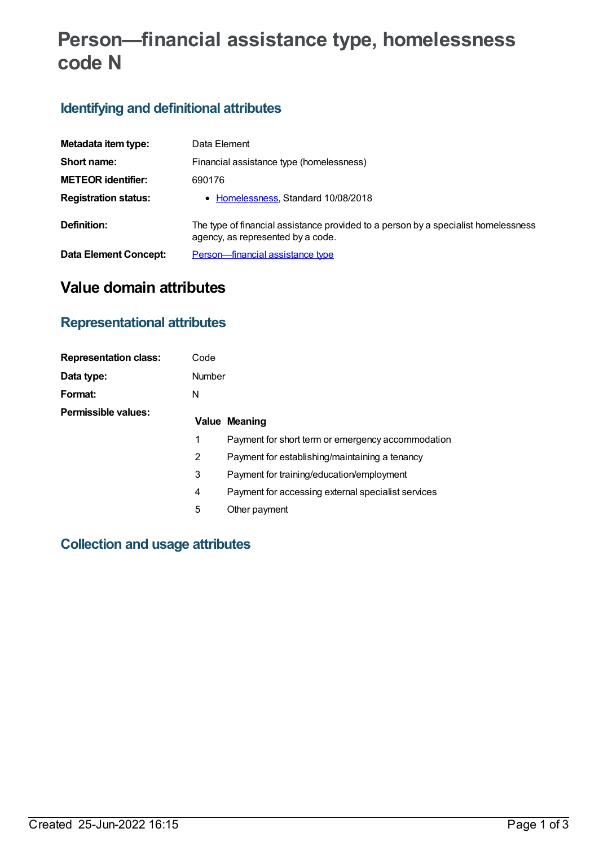# **Person—financial assistance type, homelessness code N**

# **Identifying and definitional attributes**

| Metadata item type:         | Data Element                                                                                                            |  |  |
|-----------------------------|-------------------------------------------------------------------------------------------------------------------------|--|--|
| Short name:                 | Financial assistance type (homelessness)                                                                                |  |  |
| <b>METEOR identifier:</b>   | 690176                                                                                                                  |  |  |
| <b>Registration status:</b> | • Homelessness, Standard 10/08/2018                                                                                     |  |  |
| Definition:                 | The type of financial assistance provided to a person by a specialist homelessness<br>agency, as represented by a code. |  |  |
| Data Element Concept:       | Person-financial assistance type                                                                                        |  |  |

# **Value domain attributes**

#### **Representational attributes**

| <b>Representation class:</b> | Code          |                                                    |
|------------------------------|---------------|----------------------------------------------------|
| Data type:                   | <b>Number</b> |                                                    |
| Format:                      | N             |                                                    |
| <b>Permissible values:</b>   |               | <b>Value Meaning</b>                               |
|                              | 1             | Payment for short term or emergency accommodation  |
|                              | 2             | Payment for establishing/maintaining a tenancy     |
|                              | 3             | Payment for training/education/employment          |
|                              | 4             | Payment for accessing external specialist services |
|                              | 5             | Other payment                                      |

#### **Collection and usage attributes**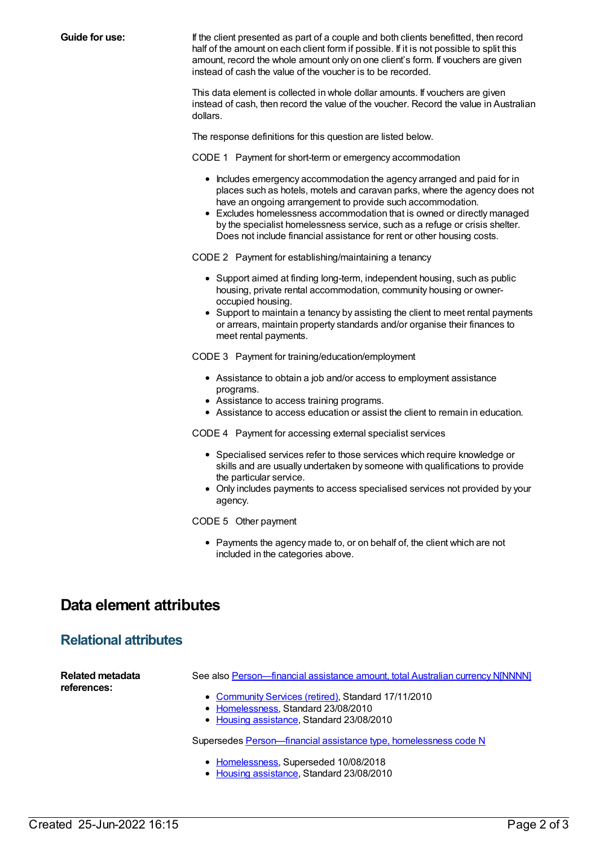**Guide for use:** If the client presented as part of a couple and both clients benefitted, then record half of the amount on each client form if possible. If it is not possible to split this amount, record the whole amount only on one client's form. If vouchers are given instead of cash the value of the voucher is to be recorded.

> This data element is collected in whole dollar amounts. If vouchers are given instead of cash, then record the value of the voucher. Record the value in Australian dollars.

The response definitions for this question are listed below.

CODE 1 Payment for short-term or emergency accommodation

- Includes emergency accommodation the agency arranged and paid for in places such as hotels, motels and caravan parks, where the agency does not have an ongoing arrangement to provide such accommodation.
- Excludes homelessness accommodation that is owned or directly managed by the specialist homelessness service, such as a refuge or crisis shelter. Does not include financial assistance for rent or other housing costs.

CODE 2 Payment for establishing/maintaining a tenancy

- Support aimed at finding long-term, independent housing, such as public housing, private rental accommodation, community housing or owneroccupied housing.
- Support to maintain a tenancy by assisting the client to meet rental payments or arrears, maintain property standards and/or organise their finances to meet rental payments.

CODE 3 Payment for training/education/employment

- Assistance to obtain a job and/or access to employment assistance programs.
- Assistance to access training programs.
- Assistance to access education or assist the client to remain in education.

CODE 4 Payment for accessing external specialist services

- Specialised services refer to those services which require knowledge or skills and are usually undertaken by someone with qualifications to provide the particular service.
- Only includes payments to access specialised services not provided by your agency.

CODE 5 Other payment

• Payments the agency made to, or on behalf of, the client which are not included in the categories above.

### **Data element attributes**

#### **Relational attributes**

**Related metadata references:** See also Person-financial assistance amount, total Australian currency N[NNNN] • [Community](https://meteor.aihw.gov.au/RegistrationAuthority/1) Services (retired), Standard 17/11/2010 • [Homelessness](https://meteor.aihw.gov.au/RegistrationAuthority/14), Standard 23/08/2010 • Housing [assistance](https://meteor.aihw.gov.au/RegistrationAuthority/11), Standard 23/08/2010

Supersedes [Person—financial](https://meteor.aihw.gov.au/content/401980) assistance type, homelessness code N

- [Homelessness](https://meteor.aihw.gov.au/RegistrationAuthority/14), Superseded 10/08/2018
- Housing [assistance](https://meteor.aihw.gov.au/RegistrationAuthority/11), Standard 23/08/2010